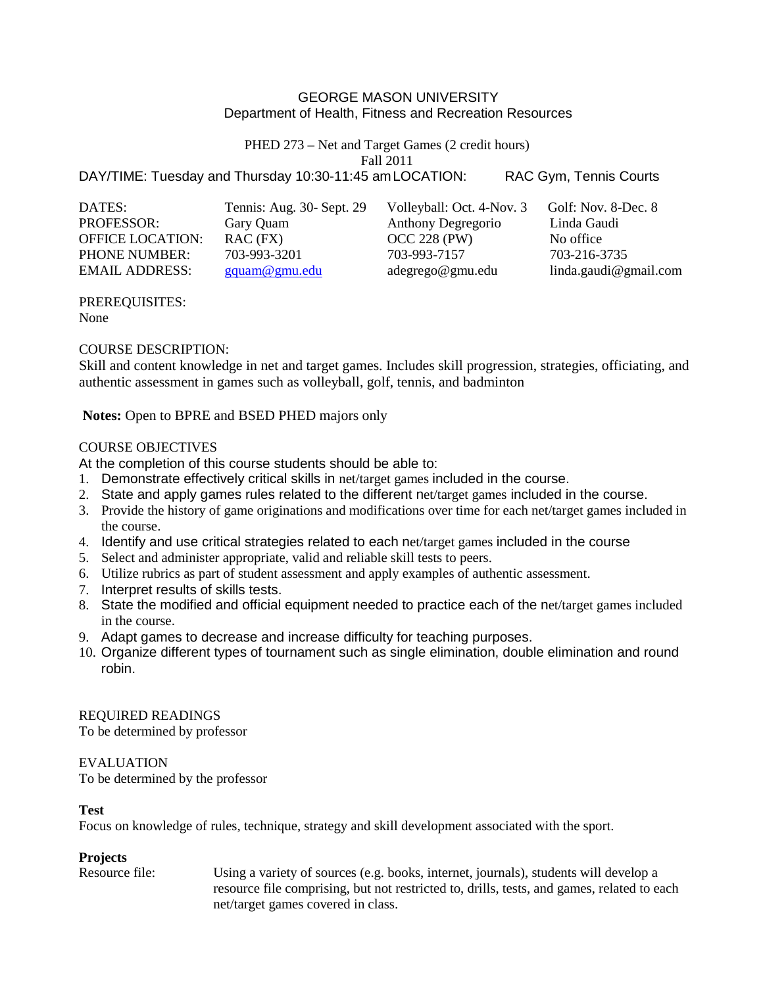### GEORGE MASON UNIVERSITY Department of Health, Fitness and Recreation Resources

PHED 273 – Net and Target Games (2 credit hours) Fall 2011

DAY/TIME: Tuesday and Thursday 10:30-11:45 amLOCATION: RAC Gym, Tennis Courts

| DATES:                  | Tennis: Aug. 30- Sept. 29 | Volleyball: Oct. 4-Nov. 3 | Golf: Nov. 8-Dec. 8   |
|-------------------------|---------------------------|---------------------------|-----------------------|
| <b>PROFESSOR:</b>       | Gary Quam                 | Anthony Degregorio        | Linda Gaudi           |
| <b>OFFICE LOCATION:</b> | $RAC$ (FX)                | $OCC 228$ (PW)            | No office             |
| <b>PHONE NUMBER:</b>    | 703-993-3201              | 703-993-7157              | 703-216-3735          |
| <b>EMAIL ADDRESS:</b>   | gquam@gmu.edu             | adegrego@gmu.edu          | linda.gaudi@gmail.com |

PREREQUISITES: None

## COURSE DESCRIPTION:

Skill and content knowledge in net and target games. Includes skill progression, strategies, officiating, and authentic assessment in games such as volleyball, golf, tennis, and badminton

**Notes:** Open to BPRE and BSED PHED majors only

### COURSE OBJECTIVES

At the completion of this course students should be able to:

- 1. Demonstrate effectively critical skills in net/target games included in the course.
- 2. State and apply games rules related to the different net/target games included in the course.
- 3. Provide the history of game originations and modifications over time for each net/target games included in the course.
- 4. Identify and use critical strategies related to each net/target games included in the course
- 5. Select and administer appropriate, valid and reliable skill tests to peers.
- 6. Utilize rubrics as part of student assessment and apply examples of authentic assessment.
- 7. Interpret results of skills tests.
- 8. State the modified and official equipment needed to practice each of the net/target games included in the course.
- 9. Adapt games to decrease and increase difficulty for teaching purposes.
- 10. Organize different types of tournament such as single elimination, double elimination and round robin.

REQUIRED READINGS To be determined by professor

#### EVALUATION

To be determined by the professor

#### **Test**

Focus on knowledge of rules, technique, strategy and skill development associated with the sport.

## **Projects**

Resource file: Using a variety of sources (e.g. books, internet, journals), students will develop a resource file comprising, but not restricted to, drills, tests, and games, related to each net/target games covered in class.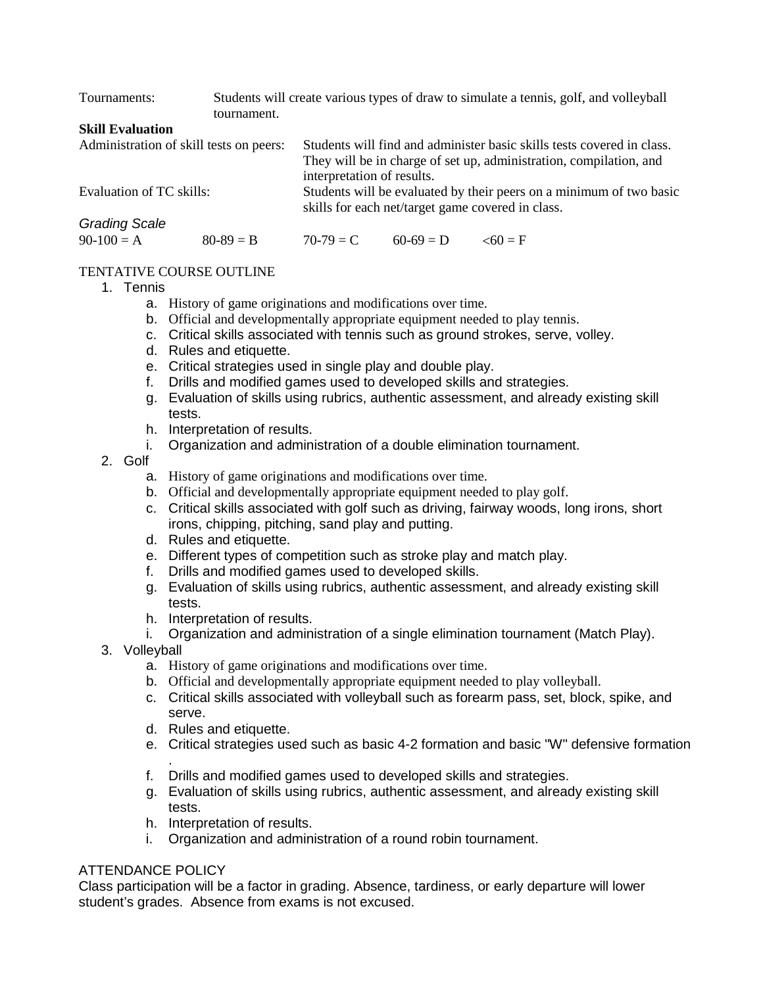| Students will create various types of draw to simulate a tennis, golf, and volleyball<br>tournament. |  |                                                                        |                            |  |  |
|------------------------------------------------------------------------------------------------------|--|------------------------------------------------------------------------|----------------------------|--|--|
|                                                                                                      |  |                                                                        |                            |  |  |
| Administration of skill tests on peers:                                                              |  | Students will find and administer basic skills tests covered in class. |                            |  |  |
|                                                                                                      |  | They will be in charge of set up, administration, compilation, and     |                            |  |  |
|                                                                                                      |  |                                                                        |                            |  |  |
| Evaluation of TC skills:                                                                             |  | Students will be evaluated by their peers on a minimum of two basic    |                            |  |  |
|                                                                                                      |  | skills for each net/target game covered in class.                      |                            |  |  |
|                                                                                                      |  |                                                                        |                            |  |  |
| $80 - 89 = B$                                                                                        |  | $60-69 = D$                                                            | $\leq 60 = F$              |  |  |
|                                                                                                      |  | $70-79 = C$                                                            | interpretation of results. |  |  |

## TENTATIVE COURSE OUTLINE

- 1. Tennis
	- a. History of game originations and modifications over time.
	- b. Official and developmentally appropriate equipment needed to play tennis.
	- c. Critical skills associated with tennis such as ground strokes, serve, volley.
	- d. Rules and etiquette.
	- e. Critical strategies used in single play and double play.
	- f. Drills and modified games used to developed skills and strategies.
	- g. Evaluation of skills using rubrics, authentic assessment, and already existing skill tests.
	- h. Interpretation of results.
	- i. Organization and administration of a double elimination tournament.
- 2. Golf
	- a. History of game originations and modifications over time.
	- b. Official and developmentally appropriate equipment needed to play golf.
	- c. Critical skills associated with golf such as driving, fairway woods, long irons, short irons, chipping, pitching, sand play and putting.
	- d. Rules and etiquette.
	- e. Different types of competition such as stroke play and match play.
	- f. Drills and modified games used to developed skills.
	- g. Evaluation of skills using rubrics, authentic assessment, and already existing skill tests.
	- h. Interpretation of results.
	- i. Organization and administration of a single elimination tournament (Match Play).
- 3. Volleyball
	- a. History of game originations and modifications over time.
	- b. Official and developmentally appropriate equipment needed to play volleyball.
	- c. Critical skills associated with volleyball such as forearm pass, set, block, spike, and serve.
	- d. Rules and etiquette.
	- e. Critical strategies used such as basic 4-2 formation and basic "W" defensive formation
	- . f. Drills and modified games used to developed skills and strategies.
	- g. Evaluation of skills using rubrics, authentic assessment, and already existing skill tests.
	- h. Interpretation of results.
	- i. Organization and administration of a round robin tournament.

# ATTENDANCE POLICY

Class participation will be a factor in grading. Absence, tardiness, or early departure will lower student's grades. Absence from exams is not excused.